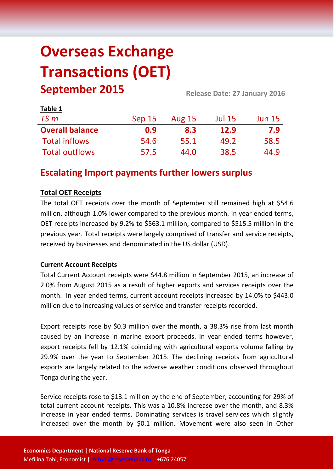# **Overseas Exchange Transactions (OET) September 2015 Release Date: 27 January 2016**

| Table 1                |        |               |               |               |
|------------------------|--------|---------------|---------------|---------------|
| $T\zeta m$             | Sep 15 | <b>Aug 15</b> | <b>Jul 15</b> | <b>Jun 15</b> |
| <b>Overall balance</b> | 0.9    | 8.3           | <b>12.9</b>   | 7.9           |
| <b>Total inflows</b>   | 54.6   | 55.1          | 49.2          | 58.5          |
| <b>Total outflows</b>  | 57.5   | 44.0          | 38.5          | 44.9          |

## **Escalating Import payments further lowers surplus**

### **Total OET Receipts**

The total OET receipts over the month of September still remained high at \$54.6 million, although 1.0% lower compared to the previous month. In year ended terms, OET receipts increased by 9.2% to \$563.1 million, compared to \$515.5 million in the previous year. Total receipts were largely comprised of transfer and service receipts, received by businesses and denominated in the US dollar (USD).

### **Current Account Receipts**

Total Current Account receipts were \$44.8 million in September 2015, an increase of 2.0% from August 2015 as a result of higher exports and services receipts over the month. In year ended terms, current account receipts increased by 14.0% to \$443.0 million due to increasing values of service and transfer receipts recorded.

Export receipts rose by \$0.3 million over the month, a 38.3% rise from last month caused by an increase in marine export proceeds. In year ended terms however, export receipts fell by 12.1% coinciding with agricultural exports volume falling by 29.9% over the year to September 2015. The declining receipts from agricultural exports are largely related to the adverse weather conditions observed throughout Tonga during the year.

Service receipts rose to \$13.1 million by the end of September, accounting for 29% of total current account receipts. This was a 10.8% increase over the month, and 8.3% increase in year ended terms. Dominating services is travel services which slightly increased over the month by \$0.1 million. Movement were also seen in Other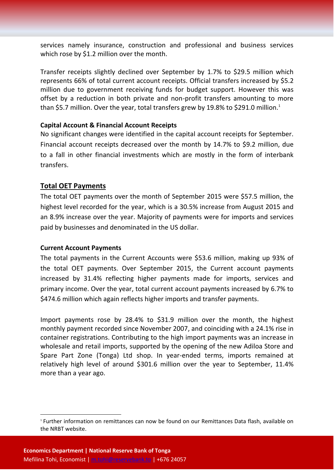services namely insurance, construction and professional and business services which rose by \$1.2 million over the month.

Transfer receipts slightly declined over September by 1.7% to \$29.5 million which represents 66% of total current account receipts. Official transfers increased by \$5.2 million due to government receiving funds for budget support. However this was offset by a reduction in both private and non-profit transfers amounting to more than \$5.7 million. Over the year, total transfers grew by 19.8% to \$291.0 million.<sup>1</sup>

#### **Capital Account & Financial Account Receipts**

No significant changes were identified in the capital account receipts for September. Financial account receipts decreased over the month by 14.7% to \$9.2 million, due to a fall in other financial investments which are mostly in the form of interbank transfers.

#### **Total OET Payments**

The total OET payments over the month of September 2015 were \$57.5 million, the highest level recorded for the year, which is a 30.5% increase from August 2015 and an 8.9% increase over the year. Majority of payments were for imports and services paid by businesses and denominated in the US dollar.

#### **Current Account Payments**

The total payments in the Current Accounts were \$53.6 million, making up 93% of the total OET payments. Over September 2015, the Current account payments increased by 31.4% reflecting higher payments made for imports, services and primary income. Over the year, total current account payments increased by 6.7% to \$474.6 million which again reflects higher imports and transfer payments.

Import payments rose by 28.4% to \$31.9 million over the month, the highest monthly payment recorded since November 2007, and coinciding with a 24.1% rise in container registrations. Contributing to the high import payments was an increase in wholesale and retail imports, supported by the opening of the new Adiloa Store and Spare Part Zone (Tonga) Ltd shop. In year-ended terms, imports remained at relatively high level of around \$301.6 million over the year to September, 11.4% more than a year ago.

**.** 

<sup>1</sup> Further information on remittances can now be found on our Remittances Data flash, available on the NRBT website.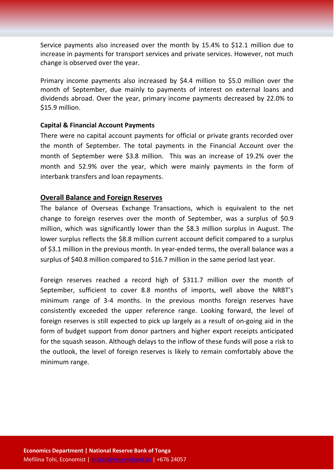Service payments also increased over the month by 15.4% to \$12.1 million due to increase in payments for transport services and private services. However, not much change is observed over the year.

Primary income payments also increased by \$4.4 million to \$5.0 million over the month of September, due mainly to payments of interest on external loans and dividends abroad. Over the year, primary income payments decreased by 22.0% to \$15.9 million.

#### **Capital & Financial Account Payments**

There were no capital account payments for official or private grants recorded over the month of September. The total payments in the Financial Account over the month of September were \$3.8 million. This was an increase of 19.2% over the month and 52.9% over the year, which were mainly payments in the form of interbank transfers and loan repayments.

#### **Overall Balance and Foreign Reserves**

The balance of Overseas Exchange Transactions, which is equivalent to the net change to foreign reserves over the month of September, was a surplus of \$0.9 million, which was significantly lower than the \$8.3 million surplus in August. The lower surplus reflects the \$8.8 million current account deficit compared to a surplus of \$3.1 million in the previous month. In year-ended terms, the overall balance was a surplus of \$40.8 million compared to \$16.7 million in the same period last year.

Foreign reserves reached a record high of \$311.7 million over the month of September, sufficient to cover 8.8 months of imports, well above the NRBT's minimum range of 3-4 months. In the previous months foreign reserves have consistently exceeded the upper reference range. Looking forward, the level of foreign reserves is still expected to pick up largely as a result of on-going aid in the form of budget support from donor partners and higher export receipts anticipated for the squash season. Although delays to the inflow of these funds will pose a risk to the outlook, the level of foreign reserves is likely to remain comfortably above the minimum range.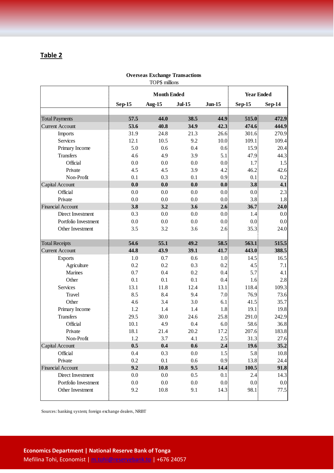### **Table 2**

| IOI 9 ILLLUIDID          |                    |               |               |              |                   |        |  |
|--------------------------|--------------------|---------------|---------------|--------------|-------------------|--------|--|
|                          | <b>Month Ended</b> |               |               |              | <b>Year Ended</b> |        |  |
|                          | <b>Sep-15</b>      | <b>Aug-15</b> | <b>Jul-15</b> | $J$ un- $15$ | $Sep-15$          | Sep-14 |  |
| <b>Total Payments</b>    | 57.5               | 44.0          | 38.5          | 44.9         | 515.0             | 472.9  |  |
| <b>Current Account</b>   | 53.6               | 40.8          | 34.9          | 42.3         | 474.6             | 444.9  |  |
| Imports                  | 31.9               | 24.8          | 21.3          | 26.6         | 301.6             | 270.9  |  |
| Services                 | 12.1               | 10.5          | 9.2           | 10.0         | 109.1             | 109.4  |  |
| Primary Income           | 5.0                | 0.6           | 0.4           | 0.6          | 15.9              | 20.4   |  |
| <b>Transfers</b>         | 4.6                | 4.9           | 3.9           | 5.1          | 47.9              | 44.3   |  |
| Official                 | 0.0                | 0.0           | 0.0           | 0.0          | 1.7               | 1.5    |  |
| Private                  | 4.5                | 4.5           | 3.9           | 4.2          | 46.2              | 42.6   |  |
| Non-Profit               | 0.1                | 0.3           | 0.1           | 0.9          | 0.1               | 0.2    |  |
| Capital Account          | 0.0                | 0.0           | 0.0           | 0.0          | 3.8               | 4.1    |  |
| Official                 | 0.0                | 0.0           | 0.0           | 0.0          | 0.0 <sub>1</sub>  | 2.3    |  |
| Private                  | 0.0                | 0.0           | 0.0           | 0.0          | 3.8               | 1.8    |  |
| <b>Financial Account</b> | 3.8                | 3.2           | 3.6           | 2.6          | 36.7              | 24.0   |  |
| Direct Investment        | 0.3                | 0.0           | 0.0           | 0.0          | 1.4               | 0.0    |  |
| Portfolio Investment     | 0.0                | 0.0           | 0.0           | 0.0          | 0.0               | 0.0    |  |
| Other Investment         | 3.5                | 3.2           | 3.6           | 2.6          | 35.3              | 24.0   |  |
|                          |                    |               |               |              |                   |        |  |
| <b>Total Receipts</b>    | 54.6               | 55.1          | 49.2          | 58.5         | 563.1             | 515.5  |  |
| <b>Current Account</b>   | 44.8               | 43.9          | 39.1          | 41.7         | 443.0             | 388.5  |  |
| <b>Exports</b>           | 1.0                | 0.7           | 0.6           | 1.0          | 14.5              | 16.5   |  |
| Agriculture              | 0.2                | 0.2           | 0.3           | 0.2          | 4.5               | 7.1    |  |
| Marines                  | 0.7                | 0.4           | 0.2           | 0.4          | 5.7               | 4.1    |  |
| Other                    | 0.1                | 0.1           | 0.1           | 0.4          | 1.6               | 2.8    |  |
| Services                 | 13.1               | 11.8          | 12.4          | 13.1         | 118.4             | 109.3  |  |
| Travel                   | 8.5                | 8.4           | 9.4           | 7.0          | 76.9              | 73.6   |  |
| Other                    | 4.6                | 3.4           | 3.0           | 6.1          | 41.5              | 35.7   |  |
| Primary Income           | 1.2                | 1.4           | 1.4           | 1.8          | 19.1              | 19.8   |  |
| <b>Transfers</b>         | 29.5               | 30.0          | 24.6          | 25.8         | 291.0             | 242.9  |  |
| Official                 | 10.1               | 4.9           | 0.4           | 6.0          | 58.6              | 36.8   |  |
| Private                  | 18.1               | 21.4          | 20.2          | 17.2         | 207.6             | 183.8  |  |
| Non-Profit               | 1.2                | 3.7           | 4.1           | 2.5          | 31.3              | 27.6   |  |
| Capital Account          | 0.5                | 0.4           | 0.6           | 2.4          | 19.6              | 35.2   |  |
| Official                 | 0.4                | 0.3           | $0.0\,$       | 1.5          | 5.8               | 10.8   |  |
| Private                  | 0.2                | 0.1           | 0.6           | 0.9          | 13.8              | 24.4   |  |
| <b>Financial Account</b> | 9.2                | 10.8          | 9.5           | 14.4         | 100.5             | 91.8   |  |
| Direct Investment        | 0.0                | $0.0\,$       | 0.5           | 0.1          | 2.4               | 14.3   |  |
| Portfolio Investment     | 0.0                | $0.0\,$       | $0.0\,$       | 0.0          | 0.0               | 0.0    |  |
| Other Investment         | 9.2                | 10.8          | 9.1           | 14.3         | 98.1              | 77.5   |  |
|                          |                    |               |               |              |                   |        |  |

**Overseas Exchange Transactions** TOP\$ millions

Sources: banking system; foreign exchange dealers, NRBT